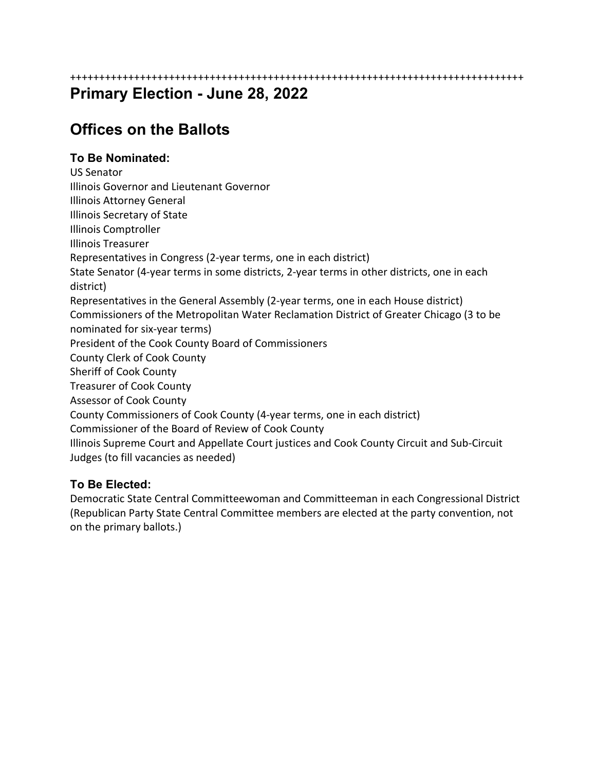++++++++++++++++++++++++++++++++++++++++++++++++++++++++++++++++++++++++++++++

## **Primary Election - June 28, 2022**

# **Offices on the Ballots**

### **To Be Nominated:**

US Senator Illinois Governor and Lieutenant Governor Illinois Attorney General Illinois Secretary of State Illinois Comptroller Illinois Treasurer Representatives in Congress (2‐year terms, one in each district) State Senator (4‐year terms in some districts, 2‐year terms in other districts, one in each district) Representatives in the General Assembly (2‐year terms, one in each House district) Commissioners of the Metropolitan Water Reclamation District of Greater Chicago (3 to be nominated for six‐year terms) President of the Cook County Board of Commissioners County Clerk of Cook County Sheriff of Cook County Treasurer of Cook County Assessor of Cook County County Commissioners of Cook County (4‐year terms, one in each district) Commissioner of the Board of Review of Cook County Illinois Supreme Court and Appellate Court justices and Cook County Circuit and Sub‐Circuit Judges (to fill vacancies as needed)

### **To Be Elected:**

Democratic State Central Committeewoman and Committeeman in each Congressional District (Republican Party State Central Committee members are elected at the party convention, not on the primary ballots.)